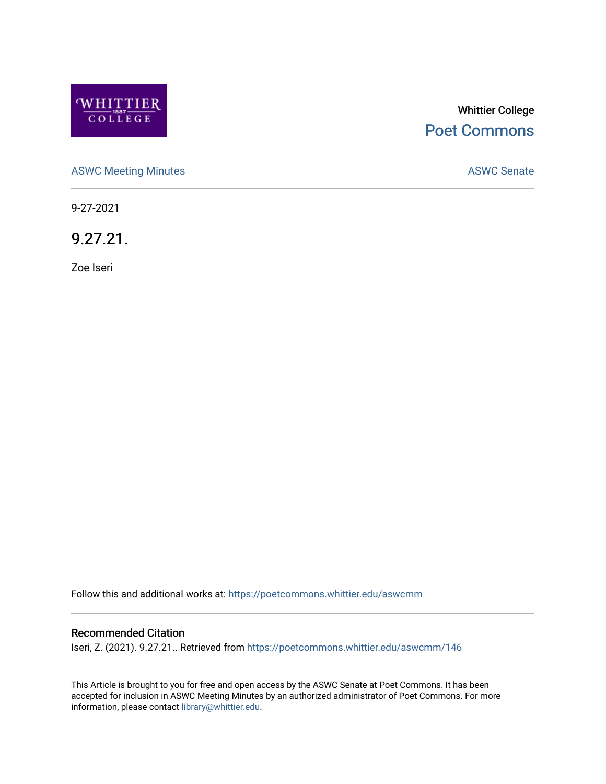

# Whittier College [Poet Commons](https://poetcommons.whittier.edu/)

[ASWC Meeting Minutes](https://poetcommons.whittier.edu/aswcmm) **ASWC Senate** 

9-27-2021

9.27.21.

Zoe Iseri

Follow this and additional works at: [https://poetcommons.whittier.edu/aswcmm](https://poetcommons.whittier.edu/aswcmm?utm_source=poetcommons.whittier.edu%2Faswcmm%2F146&utm_medium=PDF&utm_campaign=PDFCoverPages)

#### Recommended Citation

Iseri, Z. (2021). 9.27.21.. Retrieved from [https://poetcommons.whittier.edu/aswcmm/146](https://poetcommons.whittier.edu/aswcmm/146?utm_source=poetcommons.whittier.edu%2Faswcmm%2F146&utm_medium=PDF&utm_campaign=PDFCoverPages) 

This Article is brought to you for free and open access by the ASWC Senate at Poet Commons. It has been accepted for inclusion in ASWC Meeting Minutes by an authorized administrator of Poet Commons. For more information, please contact [library@whittier.edu.](mailto:library@whittier.edu)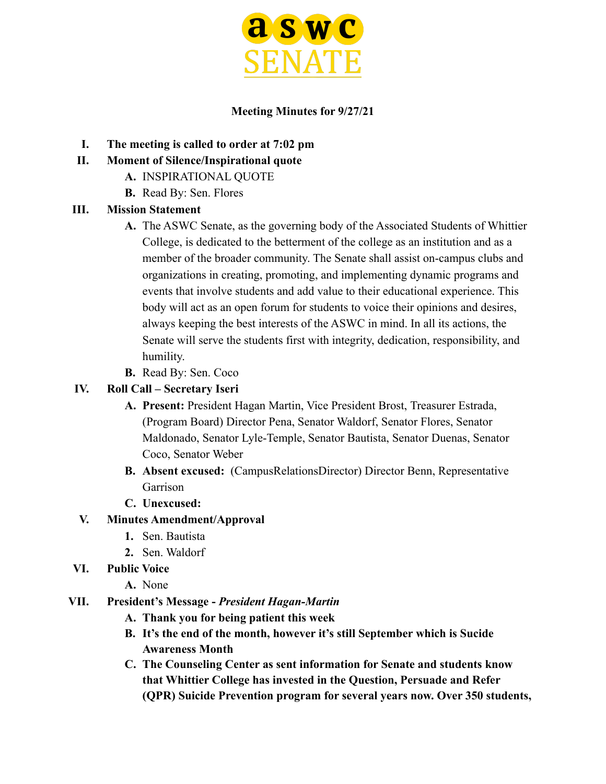

#### **Meeting Minutes for 9/27/21**

- **I. The meeting is called to order at 7:02 pm**
- **II. Moment of Silence/Inspirational quote**
	- **A.** INSPIRATIONAL QUOTE
	- **B.** Read By: Sen. Flores

#### **III. Mission Statement**

- **A.** The ASWC Senate, as the governing body of the Associated Students of Whittier College, is dedicated to the betterment of the college as an institution and as a member of the broader community. The Senate shall assist on-campus clubs and organizations in creating, promoting, and implementing dynamic programs and events that involve students and add value to their educational experience. This body will act as an open forum for students to voice their opinions and desires, always keeping the best interests of the ASWC in mind. In all its actions, the Senate will serve the students first with integrity, dedication, responsibility, and humility.
- **B.** Read By: Sen. Coco

#### **IV. Roll Call – Secretary Iseri**

- **A. Present:** President Hagan Martin, Vice President Brost, Treasurer Estrada, (Program Board) Director Pena, Senator Waldorf, Senator Flores, Senator Maldonado, Senator Lyle-Temple, Senator Bautista, Senator Duenas, Senator Coco, Senator Weber
- **B. Absent excused:** (CampusRelationsDirector) Director Benn, Representative Garrison
- **C. Unexcused:**

# **V. Minutes Amendment/Approval**

- **1.** Sen. Bautista
- **2.** Sen. Waldorf
- **VI. Public Voice**
	- **A.** None

#### **VII. President's Message -** *President Hagan-Martin*

- **A. Thank you for being patient this week**
- **B. It's the end of the month, however it's still September which is Sucide Awareness Month**
- **C. The Counseling Center as sent information for Senate and students know that Whittier College has invested in the Question, Persuade and Refer (QPR) Suicide Prevention program for several years now. Over 350 students,**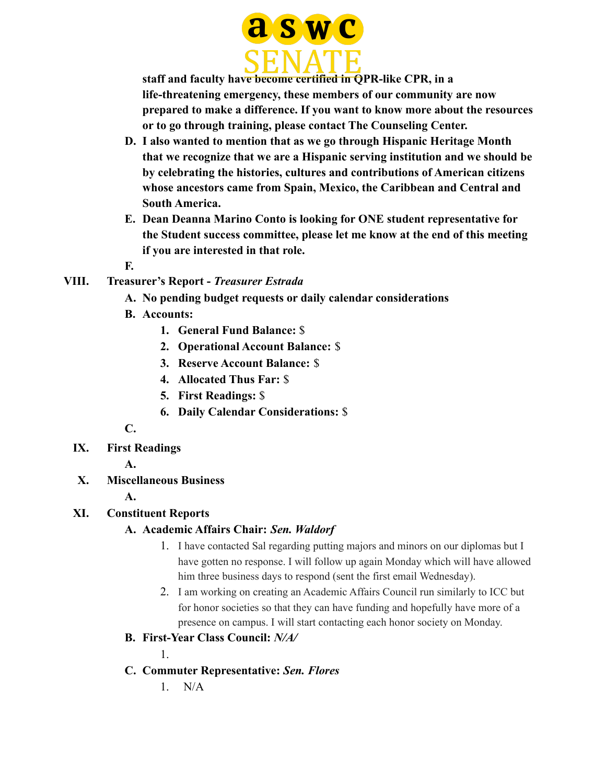

**staff and faculty have become certified in QPR-like CPR, in a life-threatening emergency, these members of our community are now prepared to make a difference. If you want to know more about the resources or to go through training, please contact The Counseling Center.**

- **D. I also wanted to mention that as we go through Hispanic Heritage Month that we recognize that we are a Hispanic serving institution and we should be by celebrating the histories, cultures and contributions of American citizens whose ancestors came from Spain, Mexico, the Caribbean and Central and South America.**
- **E. Dean Deanna Marino Conto is looking for ONE student representative for the Student success committee, please let me know at the end of this meeting if you are interested in that role.**
- **F.**
- **VIII. Treasurer's Report -** *Treasurer Estrada*
	- **A. No pending budget requests or daily calendar considerations**
	- **B. Accounts:**
		- **1. General Fund Balance:** \$
		- **2. Operational Account Balance:** \$
		- **3. Reserve Account Balance:** \$
		- **4. Allocated Thus Far:** \$
		- **5. First Readings:** \$
		- **6. Daily Calendar Considerations:** \$

**C.**

**IX. First Readings**

**A.**

- **X. Miscellaneous Business**
	- **A.**

# **XI. Constituent Reports**

# **A. Academic Affairs Chair:** *Sen. Waldorf*

- 1. I have contacted Sal regarding putting majors and minors on our diplomas but I have gotten no response. I will follow up again Monday which will have allowed him three business days to respond (sent the first email Wednesday).
- 2. I am working on creating an Academic Affairs Council run similarly to ICC but for honor societies so that they can have funding and hopefully have more of a presence on campus. I will start contacting each honor society on Monday.
- **B. First-Year Class Council:** *N/A/*

1.

- **C. Commuter Representative:** *Sen. Flores*
	- 1. N/A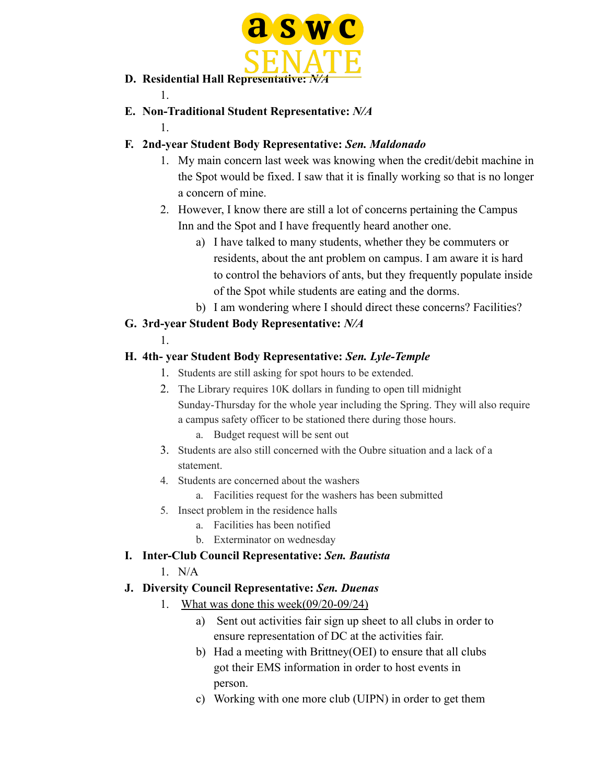

- **D.** Residential Hall Representative: *N/A*
- **E. Non-Traditional Student Representative:** *N/A*

# **F. 2nd-year Student Body Representative:** *Sen. Maldonado*

- 1. My main concern last week was knowing when the credit/debit machine in the Spot would be fixed. I saw that it is finally working so that is no longer a concern of mine.
- 2. However, I know there are still a lot of concerns pertaining the Campus Inn and the Spot and I have frequently heard another one.
	- a) I have talked to many students, whether they be commuters or residents, about the ant problem on campus. I am aware it is hard to control the behaviors of ants, but they frequently populate inside of the Spot while students are eating and the dorms.
	- b) I am wondering where I should direct these concerns? Facilities?

# **G. 3rd-year Student Body Representative:** *N/A*

1.

1.

1.

# **H. 4th- year Student Body Representative:** *Sen. Lyle-Temple*

- 1. Students are still asking for spot hours to be extended.
- 2. The Library requires 10K dollars in funding to open till midnight Sunday-Thursday for the whole year including the Spring. They will also require a campus safety officer to be stationed there during those hours.
	- a. Budget request will be sent out
- 3. Students are also still concerned with the Oubre situation and a lack of a statement.
- 4. Students are concerned about the washers
	- a. Facilities request for the washers has been submitted
- 5. Insect problem in the residence halls
	- a. Facilities has been notified
	- b. Exterminator on wednesday

# **I. Inter-Club Council Representative:** *Sen. Bautista*

1. N/A

# **J. Diversity Council Representative:** *Sen. Duenas*

- 1. What was done this week(09/20-09/24)
	- a) Sent out activities fair sign up sheet to all clubs in order to ensure representation of DC at the activities fair.
	- b) Had a meeting with Brittney(OEI) to ensure that all clubs got their EMS information in order to host events in person.
	- c) Working with one more club (UIPN) in order to get them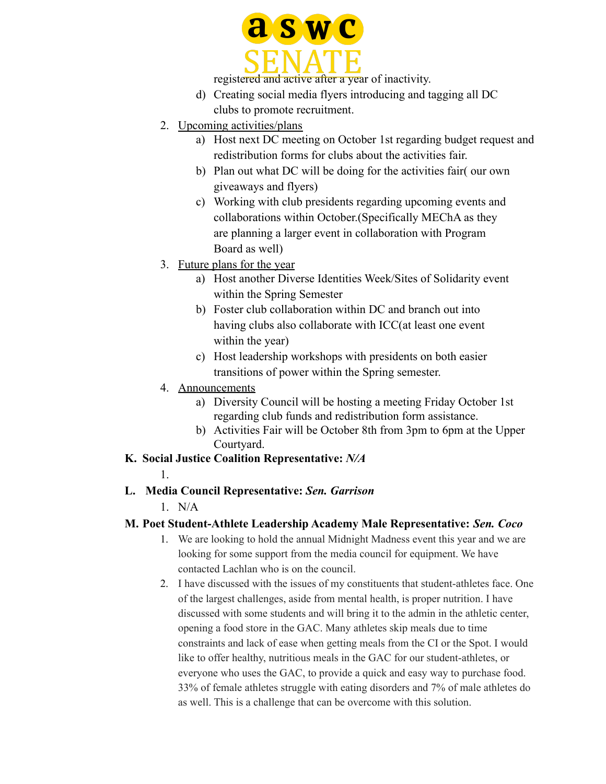

registered and active after a year of inactivity.

- d) Creating social media flyers introducing and tagging all DC clubs to promote recruitment.
- 2. Upcoming activities/plans
	- a) Host next DC meeting on October 1st regarding budget request and redistribution forms for clubs about the activities fair.
	- b) Plan out what DC will be doing for the activities fair( our own giveaways and flyers)
	- c) Working with club presidents regarding upcoming events and collaborations within October.(Specifically MEChA as they are planning a larger event in collaboration with Program Board as well)
- 3. Future plans for the year
	- a) Host another Diverse Identities Week/Sites of Solidarity event within the Spring Semester
	- b) Foster club collaboration within DC and branch out into having clubs also collaborate with ICC(at least one event within the year)
	- c) Host leadership workshops with presidents on both easier transitions of power within the Spring semester.
- 4. Announcements
	- a) Diversity Council will be hosting a meeting Friday October 1st regarding club funds and redistribution form assistance.
	- b) Activities Fair will be October 8th from 3pm to 6pm at the Upper Courtyard.
- **K. Social Justice Coalition Representative:** *N/A*
	- 1.
- **L. Media Council Representative:** *Sen. Garrison*
	- 1. N/A

# **M. Poet Student-Athlete Leadership Academy Male Representative:** *Sen. Coco*

- 1. We are looking to hold the annual Midnight Madness event this year and we are looking for some support from the media council for equipment. We have contacted Lachlan who is on the council.
- 2. I have discussed with the issues of my constituents that student-athletes face. One of the largest challenges, aside from mental health, is proper nutrition. I have discussed with some students and will bring it to the admin in the athletic center, opening a food store in the GAC. Many athletes skip meals due to time constraints and lack of ease when getting meals from the CI or the Spot. I would like to offer healthy, nutritious meals in the GAC for our student-athletes, or everyone who uses the GAC, to provide a quick and easy way to purchase food. 33% of female athletes struggle with eating disorders and 7% of male athletes do as well. This is a challenge that can be overcome with this solution.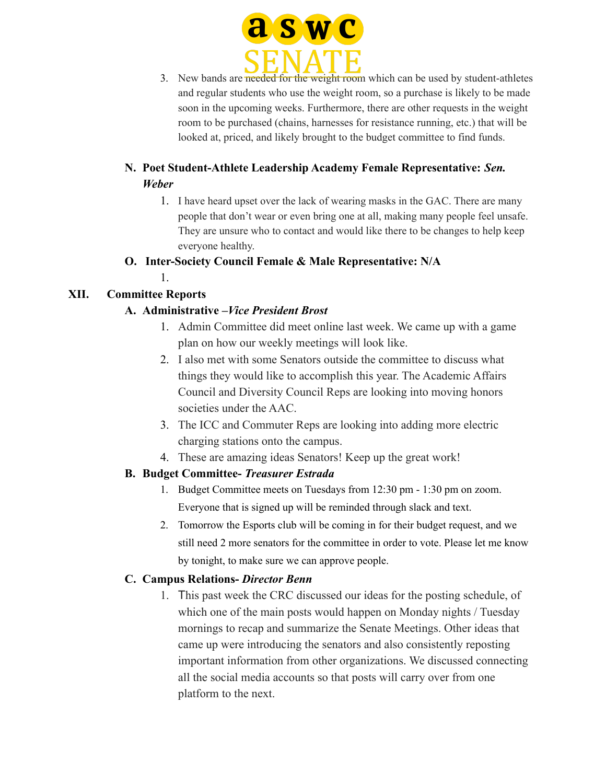

3. New bands are needed for the weight room which can be used by student-athletes and regular students who use the weight room, so a purchase is likely to be made soon in the upcoming weeks. Furthermore, there are other requests in the weight room to be purchased (chains, harnesses for resistance running, etc.) that will be looked at, priced, and likely brought to the budget committee to find funds.

# **N. Poet Student-Athlete Leadership Academy Female Representative:** *Sen. Weber*

1. I have heard upset over the lack of wearing masks in the GAC. There are many people that don't wear or even bring one at all, making many people feel unsafe. They are unsure who to contact and would like there to be changes to help keep everyone healthy.

#### **O. Inter-Society Council Female & Male Representative: N/A**

1.

# **XII. Committee Reports**

# **A. Administrative –***Vice President Brost*

- 1. Admin Committee did meet online last week. We came up with a game plan on how our weekly meetings will look like.
- 2. I also met with some Senators outside the committee to discuss what things they would like to accomplish this year. The Academic Affairs Council and Diversity Council Reps are looking into moving honors societies under the AAC.
- 3. The ICC and Commuter Reps are looking into adding more electric charging stations onto the campus.
- 4. These are amazing ideas Senators! Keep up the great work!

# **B. Budget Committee-** *Treasurer Estrada*

- 1. Budget Committee meets on Tuesdays from 12:30 pm 1:30 pm on zoom. Everyone that is signed up will be reminded through slack and text.
- 2. Tomorrow the Esports club will be coming in for their budget request, and we still need 2 more senators for the committee in order to vote. Please let me know by tonight, to make sure we can approve people.

# **C. Campus Relations-** *Director Benn*

1. This past week the CRC discussed our ideas for the posting schedule, of which one of the main posts would happen on Monday nights / Tuesday mornings to recap and summarize the Senate Meetings. Other ideas that came up were introducing the senators and also consistently reposting important information from other organizations. We discussed connecting all the social media accounts so that posts will carry over from one platform to the next.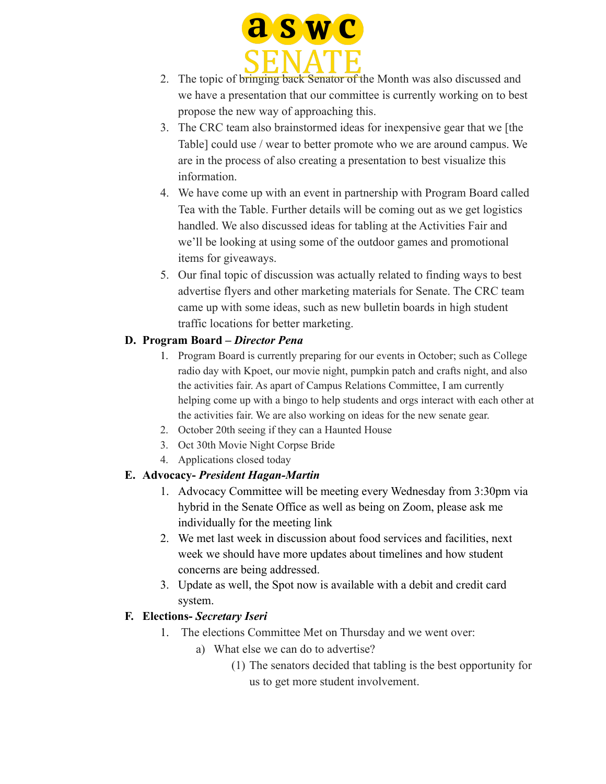

- 2. The topic of bringing back Senator of the Month was also discussed and we have a presentation that our committee is currently working on to best propose the new way of approaching this.
- 3. The CRC team also brainstormed ideas for inexpensive gear that we [the Table] could use / wear to better promote who we are around campus. We are in the process of also creating a presentation to best visualize this information.
- 4. We have come up with an event in partnership with Program Board called Tea with the Table. Further details will be coming out as we get logistics handled. We also discussed ideas for tabling at the Activities Fair and we'll be looking at using some of the outdoor games and promotional items for giveaways.
- 5. Our final topic of discussion was actually related to finding ways to best advertise flyers and other marketing materials for Senate. The CRC team came up with some ideas, such as new bulletin boards in high student traffic locations for better marketing.

# **D. Program Board –** *Director Pena*

- 1. Program Board is currently preparing for our events in October; such as College radio day with Kpoet, our movie night, pumpkin patch and crafts night, and also the activities fair. As apart of Campus Relations Committee, I am currently helping come up with a bingo to help students and orgs interact with each other at the activities fair. We are also working on ideas for the new senate gear.
- 2. October 20th seeing if they can a Haunted House
- 3. Oct 30th Movie Night Corpse Bride
- 4. Applications closed today

# **E. Advocacy-** *President Hagan-Martin*

- 1. Advocacy Committee will be meeting every Wednesday from 3:30pm via hybrid in the Senate Office as well as being on Zoom, please ask me individually for the meeting link
- 2. We met last week in discussion about food services and facilities, next week we should have more updates about timelines and how student concerns are being addressed.
- 3. Update as well, the Spot now is available with a debit and credit card system.

# **F. Elections-** *Secretary Iseri*

- 1. The elections Committee Met on Thursday and we went over:
	- a) What else we can do to advertise?
		- (1) The senators decided that tabling is the best opportunity for us to get more student involvement.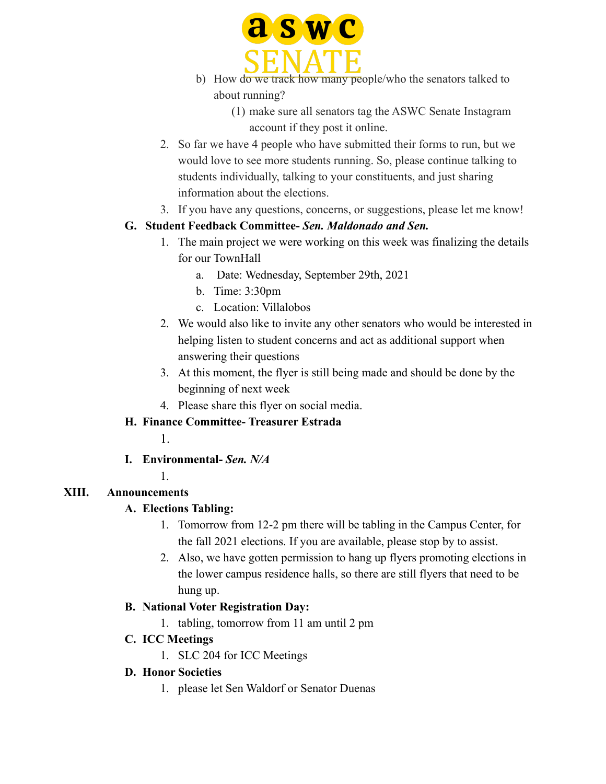

- b) How do we track how many people/who the senators talked to about running?
	- (1) make sure all senators tag the ASWC Senate Instagram account if they post it online.
- 2. So far we have 4 people who have submitted their forms to run, but we would love to see more students running. So, please continue talking to students individually, talking to your constituents, and just sharing information about the elections.
- 3. If you have any questions, concerns, or suggestions, please let me know!

# **G. Student Feedback Committee-** *Sen. Maldonado and Sen.*

- 1. The main project we were working on this week was finalizing the details for our TownHall
	- a. Date: Wednesday, September 29th, 2021
	- b. Time: 3:30pm
	- c. Location: Villalobos
- 2. We would also like to invite any other senators who would be interested in helping listen to student concerns and act as additional support when answering their questions
- 3. At this moment, the flyer is still being made and should be done by the beginning of next week
- 4. Please share this flyer on social media.

# **H. Finance Committee- Treasurer Estrada**

- 1.
- **I. Environmental-** *Sen. N/A*
	- 1.

# **XIII. Announcements**

# **A. Elections Tabling:**

- 1. Tomorrow from 12-2 pm there will be tabling in the Campus Center, for the fall 2021 elections. If you are available, please stop by to assist.
- 2. Also, we have gotten permission to hang up flyers promoting elections in the lower campus residence halls, so there are still flyers that need to be hung up.

# **B. National Voter Registration Day:**

- 1. tabling, tomorrow from 11 am until 2 pm
- **C. ICC Meetings**
	- 1. SLC 204 for ICC Meetings

# **D. Honor Societies**

1. please let Sen Waldorf or Senator Duenas